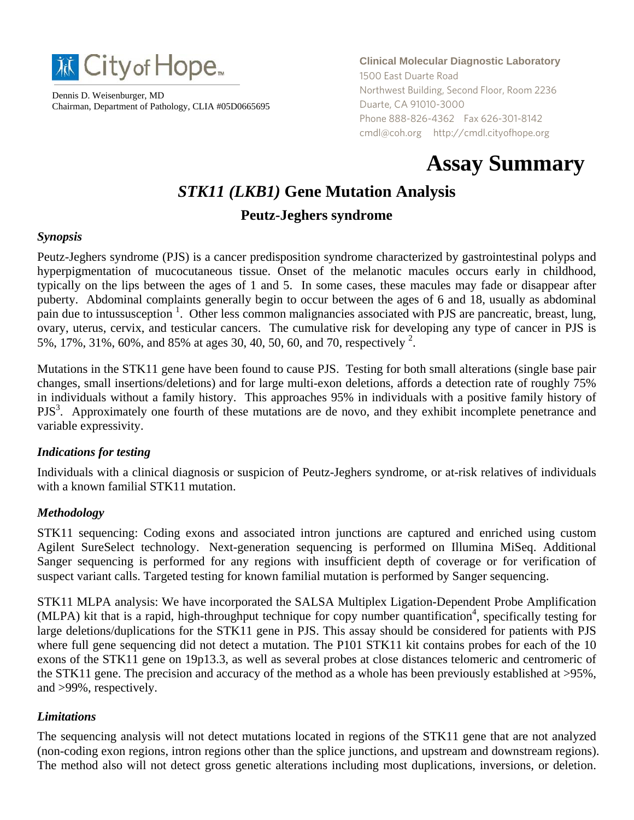

Dennis D. Weisenburger, MD Chairman, Department of Pathology, CLIA #05D0665695 **Clinical Molecular Diagnostic Laboratory** 1500 East Duarte Road Northwest Building, Second Floor, Room 2236 Duarte, CA 91010-3000 Phone 888-826-4362 Fax 626-301-8142 cmdl@coh.org http://cmdl.cityofhope.org

# **Assay Summary**

# *STK11 (LKB1)* **Gene Mutation Analysis Peutz-Jeghers syndrome**

## *Synopsis*

Peutz-Jeghers syndrome (PJS) is a cancer predisposition syndrome characterized by gastrointestinal polyps and hyperpigmentation of mucocutaneous tissue. Onset of the melanotic macules occurs early in childhood, typically on the lips between the ages of 1 and 5. In some cases, these macules may fade or disappear after puberty. Abdominal complaints generally begin to occur between the ages of 6 and 18, usually as abdominal pain due to intussusception<sup>1</sup>. Other less common malignancies associated with PJS are pancreatic, breast, lung, ovary, uterus, cervix, and testicular cancers. The cumulative risk for developing any type of cancer in PJS is 5%, 17%, 31%, 60%, and 85% at ages 30, 40, 50, 60, and 70, respectively  $^{2}$ .

Mutations in the STK11 gene have been found to cause PJS. Testing for both small alterations (single base pair changes, small insertions/deletions) and for large multi-exon deletions, affords a detection rate of roughly 75% in individuals without a family history. This approaches 95% in individuals with a positive family history of PJS<sup>3</sup>. Approximately one fourth of these mutations are de novo, and they exhibit incomplete penetrance and variable expressivity.

#### *Indications for testing*

Individuals with a clinical diagnosis or suspicion of Peutz-Jeghers syndrome, or at-risk relatives of individuals with a known familial STK11 mutation.

# *Methodology*

STK11 sequencing: Coding exons and associated intron junctions are captured and enriched using custom Agilent SureSelect technology. Next-generation sequencing is performed on Illumina MiSeq. Additional Sanger sequencing is performed for any regions with insufficient depth of coverage or for verification of suspect variant calls. Targeted testing for known familial mutation is performed by Sanger sequencing.

STK11 MLPA analysis: We have incorporated the SALSA Multiplex Ligation-Dependent Probe Amplification (MLPA) kit that is a rapid, high-throughput technique for copy number quantification<sup>4</sup>, specifically testing for large deletions/duplications for the STK11 gene in PJS. This assay should be considered for patients with PJS where full gene sequencing did not detect a mutation. The P101 STK11 kit contains probes for each of the 10 exons of the STK11 gene on 19p13.3, as well as several probes at close distances telomeric and centromeric of the STK11 gene. The precision and accuracy of the method as a whole has been previously established at >95%, and >99%, respectively.

#### *Limitations*

The sequencing analysis will not detect mutations located in regions of the STK11 gene that are not analyzed (non-coding exon regions, intron regions other than the splice junctions, and upstream and downstream regions). The method also will not detect gross genetic alterations including most duplications, inversions, or deletion.